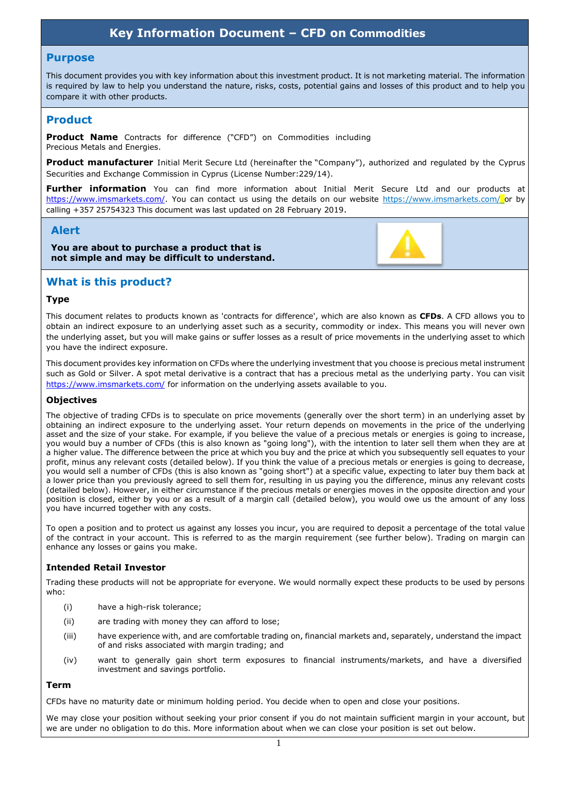# **Key Information Document – CFD on Commodities**

#### **Purpose**

This document provides you with key information about this investment product. It is not marketing material. The information is required by law to help you understand the nature, risks, costs, potential gains and losses of this product and to help you compare it with other products.

# **Product**

**Product Name** Contracts for difference ("CFD") on Commodities including Precious Metals and Energies.

**Product manufacturer** Initial Merit Secure Ltd (hereinafter the "Company"), authorized and regulated by the Cyprus Securities and Exchange Commission in Cyprus (License Number:229/14).

**Further information** You can find more information about Initial Merit Secure Ltd and our products at [https://www.imsmarkets.com/.](https://www.imsmarkets.com/) You can contact us using the details on our website https://www.imsmarkets.com/ or by calling +357 25754323 This document was last updated on 28 February 2019.

### **Alert**

**You are about to purchase a product that is not simple and may be difficult to understand.**



### **What is this product?**

#### **Type**

This document relates to products known as 'contracts for difference', which are also known as **CFDs**. A CFD allows you to obtain an indirect exposure to an underlying asset such as a security, commodity or index. This means you will never own the underlying asset, but you will make gains or suffer losses as a result of price movements in the underlying asset to which you have the indirect exposure.

This document provides key information on CFDs where the underlying investment that you choose is precious metal instrument such as Gold or Silver. A spot metal derivative is a contract that has a precious metal as the underlying party. You can visit <https://www.imsmarkets.com/> for information on the underlying assets available to you.

#### **Objectives**

The objective of trading CFDs is to speculate on price movements (generally over the short term) in an underlying asset by obtaining an indirect exposure to the underlying asset. Your return depends on movements in the price of the underlying asset and the size of your stake. For example, if you believe the value of a precious metals or energies is going to increase, you would buy a number of CFDs (this is also known as "going long"), with the intention to later sell them when they are at a higher value. The difference between the price at which you buy and the price at which you subsequently sell equates to your profit, minus any relevant costs (detailed below). If you think the value of a precious metals or energies is going to decrease, you would sell a number of CFDs (this is also known as "going short") at a specific value, expecting to later buy them back at a lower price than you previously agreed to sell them for, resulting in us paying you the difference, minus any relevant costs (detailed below). However, in either circumstance if the precious metals or energies moves in the opposite direction and your position is closed, either by you or as a result of a margin call (detailed below), you would owe us the amount of any loss you have incurred together with any costs.

To open a position and to protect us against any losses you incur, you are required to deposit a percentage of the total value of the contract in your account. This is referred to as the margin requirement (see further below). Trading on margin can enhance any losses or gains you make.

#### **Intended Retail Investor**

Trading these products will not be appropriate for everyone. We would normally expect these products to be used by persons who:

- (i) have a high-risk tolerance;
- (ii) are trading with money they can afford to lose;
- (iii) have experience with, and are comfortable trading on, financial markets and, separately, understand the impact of and risks associated with margin trading; and
- (iv) want to generally gain short term exposures to financial instruments/markets, and have a diversified investment and savings portfolio.

#### **Term**

CFDs have no maturity date or minimum holding period. You decide when to open and close your positions.

We may close your position without seeking your prior consent if you do not maintain sufficient margin in your account, but we are under no obligation to do this. More information about when we can close your position is set out below.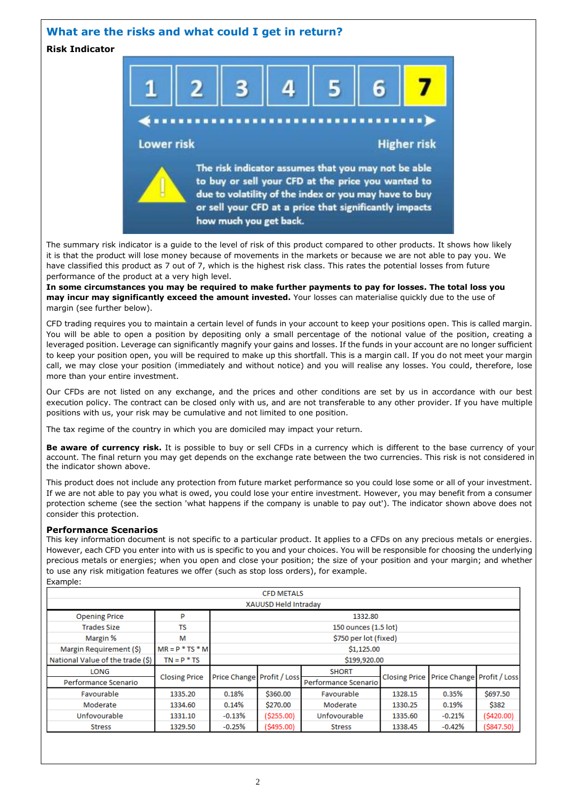### **What are the risks and what could I get in return?**

**Risk Indicator**



The summary risk indicator is a guide to the level of risk of this product compared to other products. It shows how likely it is that the product will lose money because of movements in the markets or because we are not able to pay you. We have classified this product as 7 out of 7, which is the highest risk class. This rates the potential losses from future performance of the product at a very high level.

**In some circumstances you may be required to make further payments to pay for losses. The total loss you may incur may significantly exceed the amount invested.** Your losses can materialise quickly due to the use of margin (see further below).

CFD trading requires you to maintain a certain level of funds in your account to keep your positions open. This is called margin. You will be able to open a position by depositing only a small percentage of the notional value of the position, creating a leveraged position. Leverage can significantly magnify your gains and losses. If the funds in your account are no longer sufficient to keep your position open, you will be required to make up this shortfall. This is a margin call. If you do not meet your margin call, we may close your position (immediately and without notice) and you will realise any losses. You could, therefore, lose more than your entire investment.

Our CFDs are not listed on any exchange, and the prices and other conditions are set by us in accordance with our best execution policy. The contract can be closed only with us, and are not transferable to any other provider. If you have multiple positions with us, your risk may be cumulative and not limited to one position.

The tax regime of the country in which you are domiciled may impact your return.

**Be aware of currency risk.** It is possible to buy or sell CFDs in a currency which is different to the base currency of your account. The final return you may get depends on the exchange rate between the two currencies. This risk is not considered in the indicator shown above.

This product does not include any protection from future market performance so you could lose some or all of your investment. If we are not able to pay you what is owed, you could lose your entire investment. However, you may benefit from a consumer protection scheme (see the section 'what happens if the company is unable to pay out'). The indicator shown above does not consider this protection.

#### **Performance Scenarios**

This key information document is not specific to a particular product. It applies to a CFDs on any precious metals or energies. However, each CFD you enter into with us is specific to you and your choices. You will be responsible for choosing the underlying precious metals or energies; when you open and close your position; the size of your position and your margin; and whether to use any risk mitigation features we offer (such as stop loss orders), for example. Example:

| <b>CFD METALS</b>                |                      |                            |             |                      |         |                                          |               |
|----------------------------------|----------------------|----------------------------|-------------|----------------------|---------|------------------------------------------|---------------|
| XAUUSD Held Intraday             |                      |                            |             |                      |         |                                          |               |
| <b>Opening Price</b>             | P                    | 1332.80                    |             |                      |         |                                          |               |
| <b>Trades Size</b>               | <b>TS</b>            | 150 ounces (1.5 lot)       |             |                      |         |                                          |               |
| Margin %                         | М                    | \$750 per lot (fixed)      |             |                      |         |                                          |               |
| Margin Requirement (\$)          | $MR = P * TS * M$    | \$1,125.00                 |             |                      |         |                                          |               |
| National Value of the trade (\$) | $TN = P * TS$        | \$199,920.00               |             |                      |         |                                          |               |
| LONG                             |                      | Price Change Profit / Loss |             | <b>SHORT</b>         |         | Closing Price Price Change Profit / Loss |               |
| Performance Scenario             | <b>Closing Price</b> |                            |             | Performance Scenario |         |                                          |               |
| Favourable                       | 1335.20              | 0.18%                      | \$360.00    | Favourable           | 1328.15 | 0.35%                                    | \$697.50      |
| Moderate                         | 1334.60              | $0.14\%$                   | \$270.00    | Moderate             | 1330.25 | 0.19%                                    | \$382         |
| Unfovourable                     | 1331.10              | $-0.13%$                   | ( \$255.00) | Unfovourable         | 1335.60 | $-0.21%$                                 | (5420.00)     |
| <b>Stress</b>                    | 1329.50              | $-0.25%$                   | (\$495.00)  | <b>Stress</b>        | 1338.45 | $-0.42%$                                 | $($ \$847.50) |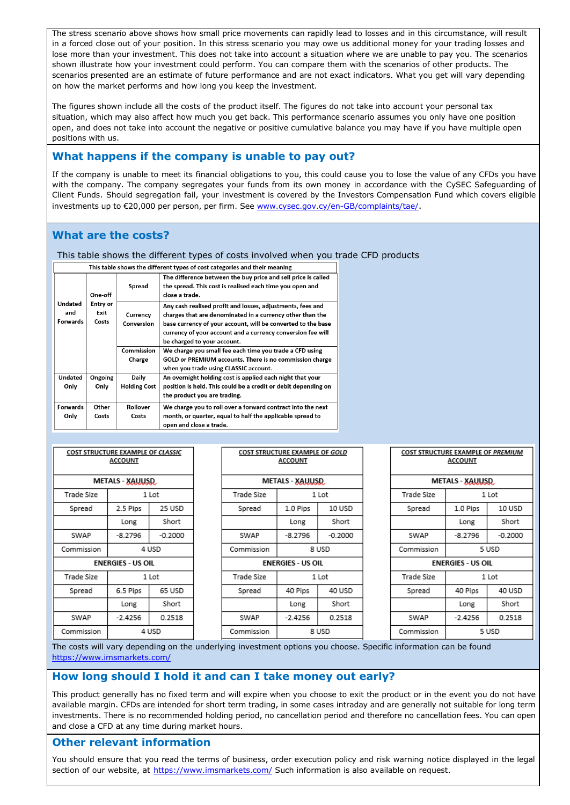The stress scenario above shows how small price movements can rapidly lead to losses and in this circumstance, will result in a forced close out of your position. In this stress scenario you may owe us additional money for your trading losses and lose more than your investment. This does not take into account a situation where we are unable to pay you. The scenarios shown illustrate how your investment could perform. You can compare them with the scenarios of other products. The scenarios presented are an estimate of future performance and are not exact indicators. What you get will vary depending on how the market performs and how long you keep the investment.

The figures shown include all the costs of the product itself. The figures do not take into account your personal tax situation, which may also affect how much you get back. This performance scenario assumes you only have one position open, and does not take into account the negative or positive cumulative balance you may have if you have multiple open positions with us.

# **What happens if the company is unable to pay out?**

If the company is unable to meet its financial obligations to you, this could cause you to lose the value of any CFDs you have with the company. The company segregates your funds from its own money in accordance with the CySEC Safeguarding of Client Funds. Should segregation fail, your investment is covered by the Investors Compensation Fund which covers eligible investments up to €20,000 per person, per firm. Se[e www.cysec.gov.cy/en-GB/complaints/tae/](http://www.cysec.gov.cy/en-GB/complaints/tae/).

# **What are the costs?**

This table shows the different types of costs involved when you trade CFD products

This table shows the different types of cost categories and their meaning

| One-off                    | Spread                           | The difference between the buy price and sell price is called<br>the spread. This cost is realised each time you open and<br>close a trade. |                                                                                                                                                                                                                                                                                       |  |
|----------------------------|----------------------------------|---------------------------------------------------------------------------------------------------------------------------------------------|---------------------------------------------------------------------------------------------------------------------------------------------------------------------------------------------------------------------------------------------------------------------------------------|--|
| Undated<br>and<br>Forwards | <b>Entry or</b><br>Exit<br>Costs | Currency<br>Conversion                                                                                                                      | Any cash realised profit and losses, adjustments, fees and<br>charges that are denominated in a currency other than the<br>base currency of your account, will be converted to the base<br>currency of your account and a currency conversion fee will<br>be charged to your account. |  |
|                            |                                  | Commission                                                                                                                                  | We charge you small fee each time you trade a CFD using                                                                                                                                                                                                                               |  |
|                            |                                  | Charge                                                                                                                                      | GOLD or PREMIUM accounts. There is no commission charge<br>when you trade using CLASSIC account.                                                                                                                                                                                      |  |
| Undated                    | Ongoing                          | Daily                                                                                                                                       | An overnight holding cost is applied each night that your                                                                                                                                                                                                                             |  |
| Only                       | Only                             | <b>Holding Cost</b>                                                                                                                         | position is held. This could be a credit or debit depending on<br>the product you are trading.                                                                                                                                                                                        |  |
| <b>Forwards</b>            | Other                            | Rollover                                                                                                                                    | We charge you to roll over a forward contract into the next                                                                                                                                                                                                                           |  |
| Only                       | Costs                            | Costs                                                                                                                                       | month, or quarter, equal to half the applicable spread to<br>open and close a trade.                                                                                                                                                                                                  |  |

| <b>COST STRUCTURE EXAMPLE OF CLASSIC</b><br><b>ACCOUNT</b> |           |           |  |  |
|------------------------------------------------------------|-----------|-----------|--|--|
| METALS - XAUUSD                                            |           |           |  |  |
| Trade Size                                                 | 1 Lot     |           |  |  |
| Spread                                                     | 2.5 Pips  | 25 USD    |  |  |
|                                                            | Long      | Short     |  |  |
| SWAP                                                       | $-8.2796$ | $-0.2000$ |  |  |
| Commission                                                 | 4 USD     |           |  |  |
| <b>ENERGIES - US OIL</b>                                   |           |           |  |  |
| Trade Size                                                 | 1 Lot     |           |  |  |
| Spread                                                     | 6.5 Pips  | 65 USD    |  |  |
|                                                            | Long      | Short     |  |  |
| SWAP                                                       | $-2.4256$ | 0.2518    |  |  |
| Commission                                                 | 4 USD     |           |  |  |

| LUSI SIKULIUKE EXAMPLE UF GULU<br>ACCOUNT |           |           |  |  |
|-------------------------------------------|-----------|-----------|--|--|
| METALS - XAUUSD,                          |           |           |  |  |
| Trade Size                                | 1 Lot     |           |  |  |
| Spread                                    | 1.0 Pips  | 10 USD    |  |  |
|                                           | Long      | Short     |  |  |
| SWAP                                      | $-8.2796$ | $-0.2000$ |  |  |
| Commission                                | 8 USD     |           |  |  |
| <b>ENERGIES - US OIL</b>                  |           |           |  |  |
| Trade Size                                | 1 Lot     |           |  |  |
| Spread                                    | 40 Pips   | 40 USD    |  |  |
|                                           | Long      | Short     |  |  |
| SWAP                                      | $-2.4256$ | 0.2518    |  |  |
| Commission                                | 8 USD     |           |  |  |

COST CTRUCTURE EVANIBLE OF COLD

| COST STRUCTURE EXAMPLE OF PREMIUM<br>ACCOUNT |           |           |  |  |
|----------------------------------------------|-----------|-----------|--|--|
| METALS - XAUUSD,                             |           |           |  |  |
| Trade Size                                   | 1 Lot     |           |  |  |
| Spread                                       | 1.0 Pips  | 10 USD    |  |  |
|                                              | Long      | Short     |  |  |
| SWAP                                         | $-8.2796$ | $-0.2000$ |  |  |
| Commission                                   | 5 USD     |           |  |  |
| <b>ENERGIES - US OIL</b>                     |           |           |  |  |
| Trade Size                                   | 1 Lot     |           |  |  |
| Spread                                       | 40 Pips   | 40 USD    |  |  |
|                                              | Long      | Short     |  |  |
| SWAP                                         | $-2.4256$ | 0.2518    |  |  |
| Commission                                   | 5 USD     |           |  |  |

The costs will vary depending on the underlying investment options you choose. Specific information can be found <https://www.imsmarkets.com/>

# **How long should I hold it and can I take money out early?**

This product generally has no fixed term and will expire when you choose to exit the product or in the event you do not have available margin. CFDs are intended for short term trading, in some cases intraday and are generally not suitable for long term investments. There is no recommended holding period, no cancellation period and therefore no cancellation fees. You can open and close a CFD at any time during market hours.

# **Other relevant information**

You should ensure that you read the terms of business, order execution policy and risk warning notice displayed in the legal section of our website, at <https://www.imsmarkets.com/> Such information is also available on request.